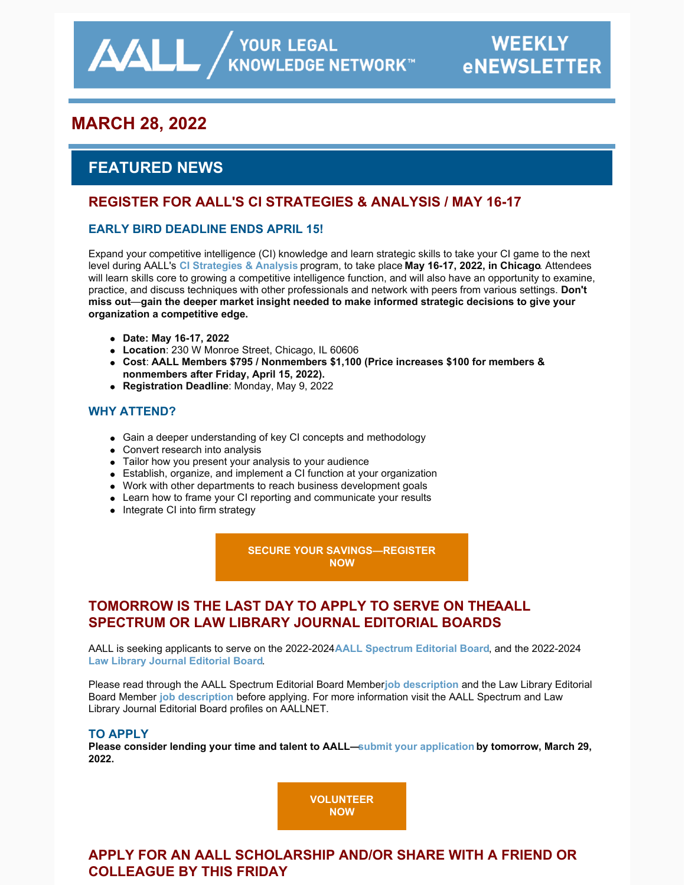/ YOUR LEGAL<br>KNOWLEDGE NETWORK™

# **MARCH 28, 2022**

# **FEATURED NEWS**

 $\Delta\Delta L$ 

## **REGISTER FOR AALL'S CI STRATEGIES & ANALYSIS / MAY 16-17**

## **EARLY BIRD DEADLINE ENDS APRIL 15!**

Expand your competitive intelligence (CI) knowledge and learn strategic skills to take your CI game to the next level during AALL's **[CI Strategies & Analysis](https://www.aallnet.org/education-training/in-person-programs-seminars/competitive-intelligence-series/ci-strategies-analysis/)** program, to take place **May 16-17, 2022, in Chicago**. Attendees will learn skills core to growing a competitive intelligence function, and will also have an opportunity to examine, practice, and discuss techniques with other professionals and network with peers from various settings. **Don't miss out**—**gain the deeper market insight needed to make informed strategic decisions to give your organization a competitive edge.**

- **Date: May 16-17, 2022**
- **Location**: 230 W Monroe Street, Chicago, IL 60606
- **Cost**: **AALL Members \$795 / Nonmembers \$1,100 (Price increases \$100 for members & nonmembers after Friday, April 15, 2022).**
- **Registration Deadline**: Monday, May 9, 2022

### **WHY ATTEND?**

- Gain a deeper understanding of key CI concepts and methodology
- Convert research into analysis
- Tailor how you present your analysis to your audience
- Establish, organize, and implement a CI function at your organization
- Work with other departments to reach business development goals
- Learn how to frame your CI reporting and communicate your results
- Integrate CI into firm strategy

**[SECURE YOUR SAVINGS—REGISTER](https://www.aallnet.org/education-training/in-person-programs-seminars/competitive-intelligence-series/ci-strategies-analysis/) NOW**

## **TOMORROW IS THE LAST DAY TO APPLY TO SERVE ON THEAALL SPECTRUM OR LAW LIBRARY JOURNAL EDITORIAL BOARDS**

AALL is seeking applicants to serve on the 2022-2024 **[AALL Spectrum Editorial Board](https://www.aallnet.org/about-us/who-we-are/committees-juries/aall-spectrum-editorial-board/)**, and the 2022-2024 **[Law Library Journal Editorial Board](https://www.aallnet.org/about-us/who-we-are/committees-juries/aall-law-library-journal-editorial-board/)**.

Please read through the AALL Spectrum Editorial Board Member [job description](https://www.aallnet.org/wp-content/uploads/2022/02/Spectrum-Editorial-Board-Job-Description_2122-FINAL.pdf) and the Law Library Editorial Board Member **[job description](https://www.aallnet.org/wp-content/uploads/2022/02/LLJ_BOARD_JOB-DESCRIPTION-FINAL-2122.pdf)** before applying. For more information visit the AALL Spectrum and Law Library Journal Editorial Board profiles on AALLNET.

### **TO APPLY**

**Please consider lending your time and talent to AALL[—submit your application](https://www.aallnet.org/about-us/who-we-are/committees-juries/volunteer/spectrumlljeditorialboardapp/) by tomorrow, March 29, 2022.** 

> **[VOLUNTEER](https://www.aallnet.org/about-us/who-we-are/committees-juries/volunteer/spectrumlljeditorialboardapp/) NOW**

# **APPLY FOR AN AALL SCHOLARSHIP AND/OR SHARE WITH A FRIEND OR COLLEAGUE BY THIS FRIDAY**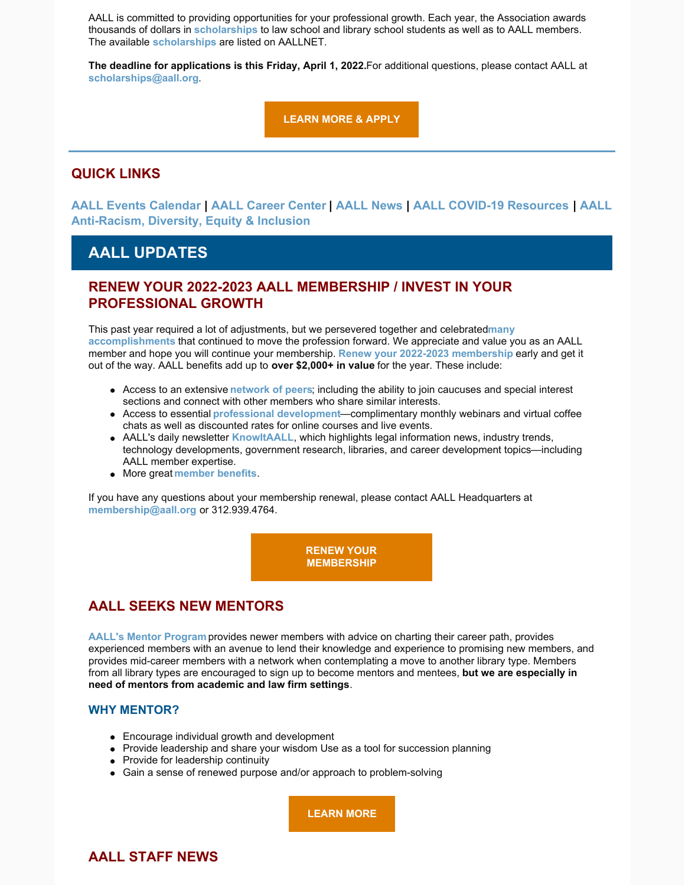AALL is committed to providing opportunities for your professional growth. Each year, the Association awards thousands of dollars in **[scholarships](https://www.aallnet.org/education-training/scholarships/)** to law school and library school students as well as to AALL members. The available **[scholarships](https://www.aallnet.org/education-training/scholarships/)** are listed on AALLNET.

**The deadline for applications is this Friday, April 1, 2022.** For additional questions, please contact AALL at **[scholarships@aall.org](mailto:scholarships@aall.org)**.

**[LEARN MORE & APPLY](https://www.aallnet.org/education-training/scholarships/)**

## **QUICK LINKS**

**[AALL Events Calendar | AALL Career Center | AALL News | AALL COVID-19 Resources | AALL](https://www.aallnet.org/about-us/press-room/anti-racism-diversity-equity-inclusion/) Anti-Racism, Diversity, Equity & Inclusion**

# **AALL UPDATES**

## **RENEW YOUR 2022-2023 AALL MEMBERSHIP / INVEST IN YOUR PROFESSIONAL GROWTH**

[This past year required a lot of adjustments, but we persevered together and celebrated](https://www.aallnet.org/wp-content/uploads/2022/02/AALL-eBriefing-Thank-You-for-Being-an-AALL-Member.pdf) **many accomplishments** that continued to move the profession forward. We appreciate and value you as an AALL member and hope you will continue your membership. **[Renew your 2022-2023 membership](https://www.aallnet.org/community/membership/join-renew/)** early and get it out of the way. AALL benefits add up to **over \$2,000+ in value** for the year. These include:

- Access to an extensive **[network of peers](https://www.aallnet.org/community/)**; including the ability to join caucuses and special interest sections and connect with other members who share similar interests.
- Access to essential **[professional development](https://elearning.aallnet.org/)**—complimentary monthly webinars and virtual coffee chats as well as discounted rates for online courses and live events.
- AALL's daily newsletter **[KnowItAALL](https://www.aallnet.org/resources-publications/publications/knowitaall/)**, which highlights legal information news, industry trends, technology developments, government research, libraries, and career development topics—including AALL member expertise.
- More great **[member benefits](https://www.aallnet.org/community/membership/benefits/)**.

If you have any questions about your membership renewal, please contact AALL Headquarters at **[membership@aall.org](mailto:membership@aall.org)** or 312.939.4764.

> **[RENEW YOUR](https://www.aallnet.org/community/membership/join-renew/) MEMBERSHIP**

## **AALL SEEKS NEW MENTORS**

**[AALL's Mentor Program](https://www.aallnet.org/careers/mentor-program/)** provides newer members with advice on charting their career path, provides experienced members with an avenue to lend their knowledge and experience to promising new members, and provides mid-career members with a network when contemplating a move to another library type. Members from all library types are encouraged to sign up to become mentors and mentees, **but we are especially in need of mentors from academic and law firm settings**.

#### **WHY MENTOR?**

- Encourage individual growth and development
- Provide leadership and share your wisdom Use as a tool for succession planning
- Provide for leadership continuity
- Gain a sense of renewed purpose and/or approach to problem-solving

**[LEARN MORE](https://www.aallnet.org/careers/mentor-program/)**

## **AALL STAFF NEWS**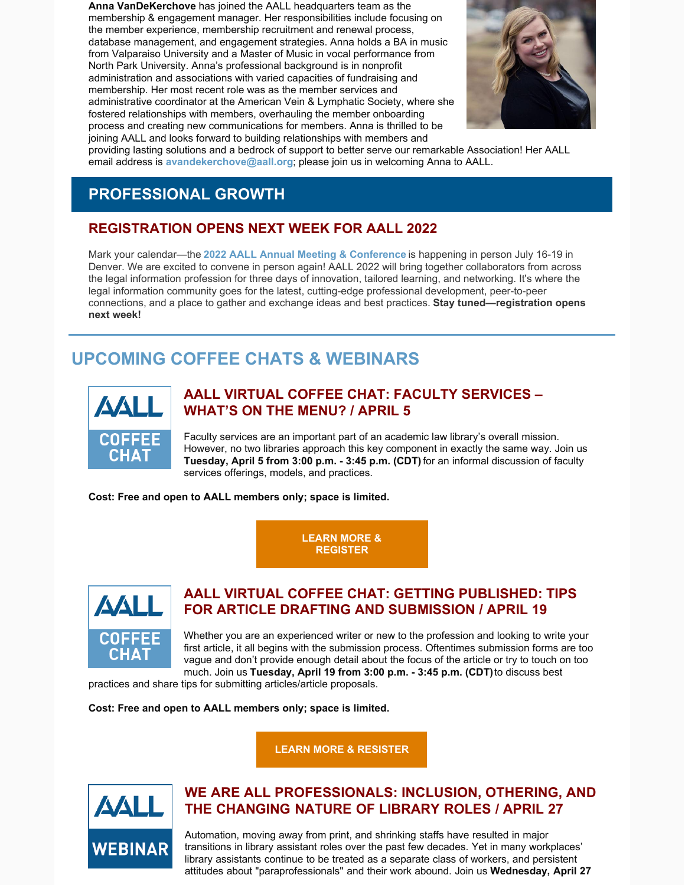**Anna VanDeKerchove** has joined the AALL headquarters team as the membership & engagement manager. Her responsibilities include focusing on the member experience, membership recruitment and renewal process, database management, and engagement strategies. Anna holds a BA in music from Valparaiso University and a Master of Music in vocal performance from North Park University. Anna's professional background is in nonprofit administration and associations with varied capacities of fundraising and membership. Her most recent role was as the member services and administrative coordinator at the American Vein & Lymphatic Society, where she fostered relationships with members, overhauling the member onboarding process and creating new communications for members. Anna is thrilled to be joining AALL and looks forward to building relationships with members and



providing lasting solutions and a bedrock of support to better serve our remarkable Association! Her AALL email address is **[avandekerchove@aall.org](mailto:avandekerchove@aall.org)**; please join us in welcoming Anna to AALL.

# **PROFESSIONAL GROWTH**

# **REGISTRATION OPENS NEXT WEEK FOR AALL 2022**

Mark your calendar—the **[2022 AALL Annual Meeting & Conference](https://www.aallnet.org/conference/)** is happening in person July 16-19 in Denver. We are excited to convene in person again! AALL 2022 will bring together collaborators from across the legal information profession for three days of innovation, tailored learning, and networking. It's where the legal information community goes for the latest, cutting-edge professional development, peer-to-peer connections, and a place to gather and exchange ideas and best practices. **Stay tuned—registration opens next week!**

# **UPCOMING COFFEE CHATS & WEBINARS**



## **AALL VIRTUAL COFFEE CHAT: FACULTY SERVICES – WHAT'S ON THE MENU? / APRIL 5**

Faculty services are an important part of an academic law library's overall mission. However, no two libraries approach this key component in exactly the same way. Join us **Tuesday, April 5 from 3:00 p.m. - 3:45 p.m. (CDT)** for an informal discussion of faculty services offerings, models, and practices.

**Cost: Free and open to AALL members only; space is limited.**

**[LEARN MORE &](https://elearning.aallnet.org/products/virtual-coffee-chat-faculty-services-whats-on-the-menu) REGISTER**



## **AALL VIRTUAL COFFEE CHAT: GETTING PUBLISHED: TIPS FOR ARTICLE DRAFTING AND SUBMISSION / APRIL 19**

Whether you are an experienced writer or new to the profession and looking to write your first article, it all begins with the submission process. Oftentimes submission forms are too vague and don't provide enough detail about the focus of the article or try to touch on too much. Join us **Tuesday, April 19 from 3:00 p.m. - 3:45 p.m. (CDT)** to discuss best

practices and share tips for submitting articles/article proposals.

**Cost: Free and open to AALL members only; space is limited.**

**[LEARN MORE & RESISTER](https://elearning.aallnet.org/products/virtual-coffee-chat-getting-published-tips-for-article-drafting-and-submission)**



# **WE ARE ALL PROFESSIONALS: INCLUSION, OTHERING, AND THE CHANGING NATURE OF LIBRARY ROLES / APRIL 27**

Automation, moving away from print, and shrinking staffs have resulted in major transitions in library assistant roles over the past few decades. Yet in many workplaces' library assistants continue to be treated as a separate class of workers, and persistent attitudes about "paraprofessionals" and their work abound. Join us **Wednesday, April 27**